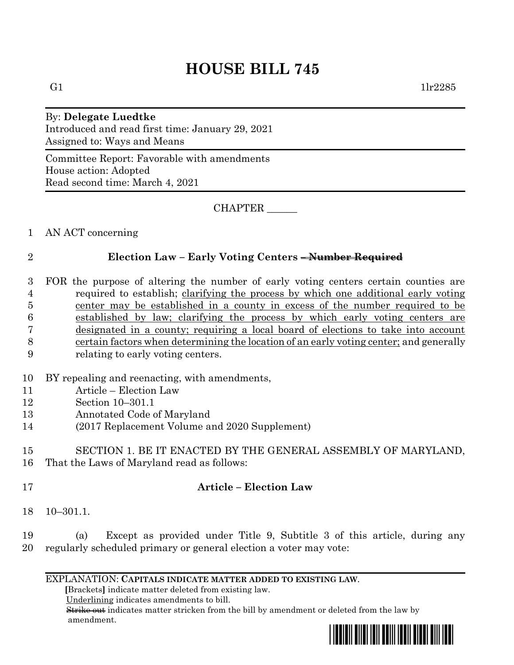# **HOUSE BILL 745**

#### By: **Delegate Luedtke** Introduced and read first time: January 29, 2021

Assigned to: Ways and Means

Committee Report: Favorable with amendments House action: Adopted Read second time: March 4, 2021

CHAPTER \_\_\_\_\_\_

#### 1 AN ACT concerning

## 2 **Election Law – Early Voting Centers – Number Required**

 FOR the purpose of altering the number of early voting centers certain counties are required to establish; clarifying the process by which one additional early voting center may be established in a county in excess of the number required to be established by law; clarifying the process by which early voting centers are designated in a county; requiring a local board of elections to take into account certain factors when determining the location of an early voting center; and generally

- 9 relating to early voting centers.
- 10 BY repealing and reenacting, with amendments,
- 11 Article Election Law
- 12 Section 10–301.1
- 13 Annotated Code of Maryland
- 14 (2017 Replacement Volume and 2020 Supplement)

### 15 SECTION 1. BE IT ENACTED BY THE GENERAL ASSEMBLY OF MARYLAND, 16 That the Laws of Maryland read as follows:

- 
- 

## 17 **Article – Election Law**

18 10–301.1.

19 (a) Except as provided under Title 9, Subtitle 3 of this article, during any 20 regularly scheduled primary or general election a voter may vote:

#### EXPLANATION: **CAPITALS INDICATE MATTER ADDED TO EXISTING LAW**.

 **[**Brackets**]** indicate matter deleted from existing law.

Underlining indicates amendments to bill.

 Strike out indicates matter stricken from the bill by amendment or deleted from the law by amendment.

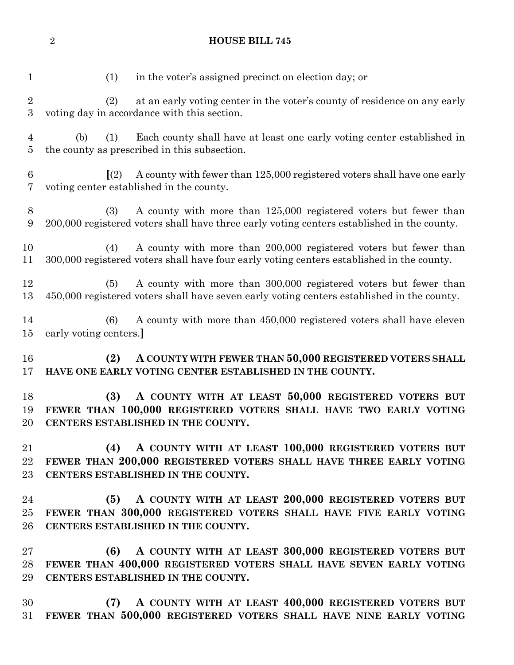(1) in the voter's assigned precinct on election day; or (2) at an early voting center in the voter's county of residence on any early voting day in accordance with this section. (b) (1) Each county shall have at least one early voting center established in the county as prescribed in this subsection. **[**(2) A county with fewer than 125,000 registered voters shall have one early voting center established in the county. (3) A county with more than 125,000 registered voters but fewer than 200,000 registered voters shall have three early voting centers established in the county. (4) A county with more than 200,000 registered voters but fewer than 300,000 registered voters shall have four early voting centers established in the county. (5) A county with more than 300,000 registered voters but fewer than 450,000 registered voters shall have seven early voting centers established in the county. (6) A county with more than 450,000 registered voters shall have eleven early voting centers.**] (2) A COUNTY WITH FEWER THAN 50,000 REGISTERED VOTERS SHALL HAVE ONE EARLY VOTING CENTER ESTABLISHED IN THE COUNTY. (3) A COUNTY WITH AT LEAST 50,000 REGISTERED VOTERS BUT FEWER THAN 100,000 REGISTERED VOTERS SHALL HAVE TWO EARLY VOTING CENTERS ESTABLISHED IN THE COUNTY. (4) A COUNTY WITH AT LEAST 100,000 REGISTERED VOTERS BUT FEWER THAN 200,000 REGISTERED VOTERS SHALL HAVE THREE EARLY VOTING CENTERS ESTABLISHED IN THE COUNTY. (5) A COUNTY WITH AT LEAST 200,000 REGISTERED VOTERS BUT FEWER THAN 300,000 REGISTERED VOTERS SHALL HAVE FIVE EARLY VOTING CENTERS ESTABLISHED IN THE COUNTY. (6) A COUNTY WITH AT LEAST 300,000 REGISTERED VOTERS BUT FEWER THAN 400,000 REGISTERED VOTERS SHALL HAVE SEVEN EARLY VOTING CENTERS ESTABLISHED IN THE COUNTY.**

**HOUSE BILL 745**

 **(7) A COUNTY WITH AT LEAST 400,000 REGISTERED VOTERS BUT FEWER THAN 500,000 REGISTERED VOTERS SHALL HAVE NINE EARLY VOTING**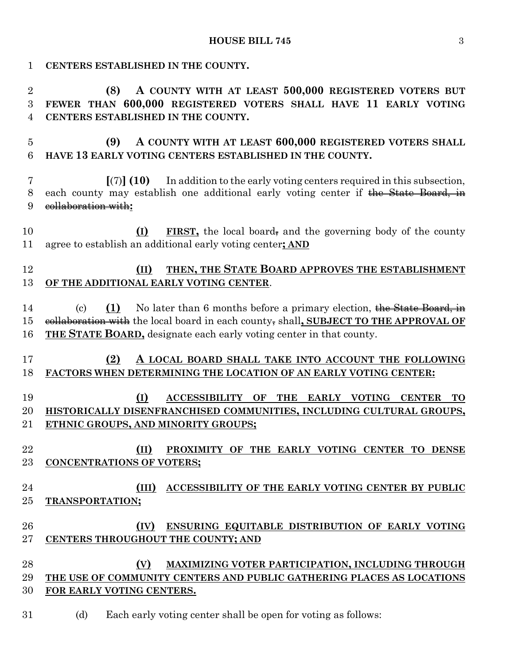| 1              | CENTERS ESTABLISHED IN THE COUNTY.                                                                                                |
|----------------|-----------------------------------------------------------------------------------------------------------------------------------|
| $\overline{2}$ | A COUNTY WITH AT LEAST 500,000 REGISTERED VOTERS BUT<br>(8)                                                                       |
| 3              | FEWER THAN 600,000 REGISTERED VOTERS SHALL HAVE 11 EARLY VOTING                                                                   |
| 4              | CENTERS ESTABLISHED IN THE COUNTY.                                                                                                |
| $\overline{5}$ | (9)<br>A COUNTY WITH AT LEAST 600,000 REGISTERED VOTERS SHALL                                                                     |
| 6              | HAVE 13 EARLY VOTING CENTERS ESTABLISHED IN THE COUNTY.                                                                           |
|                |                                                                                                                                   |
| 7              | $\left[\right(7)\right]$ (10) In addition to the early voting centers required in this subsection,                                |
| 8              | each county may establish one additional early voting center if the State Board, in                                               |
| 9              | eollaboration with:                                                                                                               |
| 10             | <b>FIRST</b> , the local board, and the governing body of the county<br>(I)                                                       |
| 11             | agree to establish an additional early voting center; AND                                                                         |
|                |                                                                                                                                   |
| 12             | THEN, THE STATE BOARD APPROVES THE ESTABLISHMENT<br>(II)                                                                          |
| 13             | OF THE ADDITIONAL EARLY VOTING CENTER.                                                                                            |
| 14             | (1)<br>No later than 6 months before a primary election, the State Board, in<br>$\left( \mathrm{c} \right)$                       |
| 15             | eollaboration with the local board in each county, shall, SUBJECT TO THE APPROVAL OF                                              |
| 16             | <b>THE STATE BOARD,</b> designate each early voting center in that county.                                                        |
|                |                                                                                                                                   |
| 17             | (2)<br>A LOCAL BOARD SHALL TAKE INTO ACCOUNT THE FOLLOWING                                                                        |
| 18             | FACTORS WHEN DETERMINING THE LOCATION OF AN EARLY VOTING CENTER:                                                                  |
|                |                                                                                                                                   |
| 19             | (I)<br>OF<br><b>ACCESSIBILITY</b><br><b>THE</b><br><b>EARLY VOTING</b><br><b>CENTER</b><br>TO                                     |
| 20             | HISTORICALLY DISENFRANCHISED COMMUNITIES, INCLUDING CULTURAL GROUPS,                                                              |
| 21             | ETHNIC GROUPS, AND MINORITY GROUPS;                                                                                               |
| 22             | (II)<br>PROXIMITY OF THE EARLY VOTING CENTER TO DENSE                                                                             |
| 23             | <b>CONCENTRATIONS OF VOTERS;</b>                                                                                                  |
|                |                                                                                                                                   |
| 24             | ACCESSIBILITY OF THE EARLY VOTING CENTER BY PUBLIC<br>(III)                                                                       |
| 25             | TRANSPORTATION;                                                                                                                   |
|                |                                                                                                                                   |
| 26             | ENSURING EQUITABLE DISTRIBUTION OF EARLY VOTING<br>(IV)                                                                           |
| 27             | CENTERS THROUGHOUT THE COUNTY; AND                                                                                                |
| 28             | (V)                                                                                                                               |
| 29             | <b>MAXIMIZING VOTER PARTICIPATION, INCLUDING THROUGH</b><br>THE USE OF COMMUNITY CENTERS AND PUBLIC GATHERING PLACES AS LOCATIONS |
| 30             | FOR EARLY VOTING CENTERS.                                                                                                         |
|                |                                                                                                                                   |
| 31             | (d)<br>Each early voting center shall be open for voting as follows:                                                              |